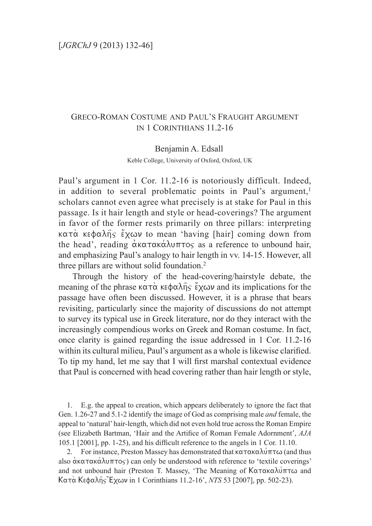# Greco-Roman Costume and Paul's Fraught Argument in 1 Corinthians 11.2-16

Benjamin A. Edsall Keble College, University of Oxford, Oxford, UK

Paul's argument in 1 Cor. 11.2-16 is notoriously difficult. Indeed, in addition to several problematic points in Paul's argument, $<sup>1</sup>$ </sup> scholars cannot even agree what precisely is at stake for Paul in this passage. Is it hair length and style or head-coverings? The argument in favor of the former rests primarily on three pillars: interpreting  $\kappa \alpha \tau \dot{\alpha}$  ke $\phi \alpha \lambda \hat{\eta} \varsigma$  excov to mean 'having [hair] coming down from the head', reading  $\alpha$ κατακάλυπτος as a reference to unbound hair, and emphasizing Paul's analogy to hair length in vv. 14-15. However, all three pillars are without solid foundation.<sup>2</sup>

Through the history of the head-covering/hairstyle debate, the meaning of the phrase  $\kappa \alpha \tau \alpha$  ke $\phi \alpha \lambda \hat{\eta} s$  excov and its implications for the passage have often been discussed. However, it is a phrase that bears revisiting, particularly since the majority of discussions do not attempt to survey its typical use in Greek literature, nor do they interact with the increasingly compendious works on Greek and Roman costume. In fact, once clarity is gained regarding the issue addressed in 1 Cor. 11.2-16 within its cultural milieu, Paul's argument as a whole is likewise clarified. To tip my hand, let me say that I will first marshal contextual evidence that Paul is concerned with head covering rather than hair length or style,

1. E.g. the appeal to creation, which appears deliberately to ignore the fact that Gen. 1.26-27 and 5.1-2 identify the image of God as comprising male *and* female, the appeal to 'natural' hair-length, which did not even hold true across the Roman Empire (see Elizabeth Bartman, 'Hair and the Artifice of Roman Female Adornment', *AJA*  105.1 [2001], pp. 1-25), and his difficult reference to the angels in 1 Cor. 11.10.

2. For instance, Preston Massey has demonstrated that  $\kappa \alpha \tau \alpha \kappa \alpha \lambda \omega \pi \tau \omega$  (and thus also  $\alpha$ κατακά $\lambda$ υπτος) can only be understood with reference to 'textile coverings' and not unbound hair (Preston T. Massey, 'The Meaning of  $K\alpha\tau\alpha\kappa\alpha\lambda\omega\pi\tau\omega$  and Kata\_ Kefalh=j 1Exwn in 1 Corinthians 11.2-16', *NTS* 53 [2007], pp. 502-23).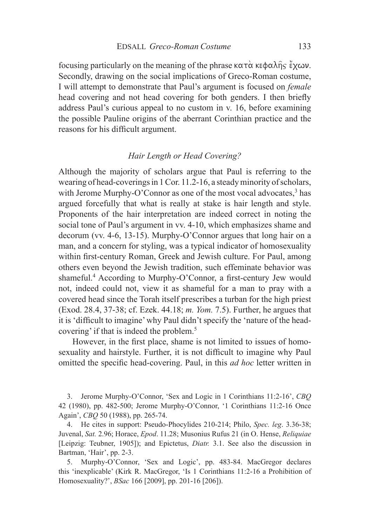focusing particularly on the meaning of the phrase  $\kappa \alpha \tau \alpha$  ke $\phi \alpha \lambda \hat{\eta} \varsigma$  excov. Secondly, drawing on the social implications of Greco-Roman costume, I will attempt to demonstrate that Paul's argument is focused on *female*  head covering and not head covering for both genders. I then briefly address Paul's curious appeal to no custom in v. 16, before examining the possible Pauline origins of the aberrant Corinthian practice and the reasons for his difficult argument.

### *Hair Length or Head Covering?*

Although the majority of scholars argue that Paul is referring to the wearing of head-coverings in 1 Cor. 11.2-16, a steady minority of scholars, with Jerome Murphy-O'Connor as one of the most vocal advocates, $3$  has argued forcefully that what is really at stake is hair length and style. Proponents of the hair interpretation are indeed correct in noting the social tone of Paul's argument in vv. 4-10, which emphasizes shame and decorum (vv. 4-6, 13-15). Murphy-O'Connor argues that long hair on a man, and a concern for styling, was a typical indicator of homosexuality within first-century Roman, Greek and Jewish culture. For Paul, among others even beyond the Jewish tradition, such effeminate behavior was shameful.<sup>4</sup> According to Murphy-O'Connor, a first-century Jew would not, indeed could not, view it as shameful for a man to pray with a covered head since the Torah itself prescribes a turban for the high priest (Exod. 28.4, 37-38; cf. Ezek. 44.18; *m. Yom.* 7.5). Further, he argues that it is 'difficult to imagine' why Paul didn't specify the 'nature of the headcovering' if that is indeed the problem.<sup>5</sup>

However, in the first place, shame is not limited to issues of homosexuality and hairstyle. Further, it is not difficult to imagine why Paul omitted the specific head-covering. Paul, in this *ad hoc* letter written in

3. Jerome Murphy-O'Connor, 'Sex and Logic in 1 Corinthians 11:2-16', *CBQ*  42 (1980), pp. 482-500; Jerome Murphy-O'Connor, '1 Corinthians 11:2-16 Once Again', *CBQ* 50 (1988), pp. 265-74.

4. He cites in support: Pseudo-Phocylides 210-214; Philo, *Spec. leg*. 3.36-38; Juvenal, *Sat.* 2.96; Horace, *Epod*. 11.28; Musonius Rufus 21 (in O. Hense, *Reliquiae* [Leipzig: Teubner, 1905]); and Epictetus, *Diatr.* 3.1. See also the discussion in Bartman, 'Hair', pp. 2-3.

5. Murphy-O'Connor, 'Sex and Logic', pp. 483-84. MacGregor declares this 'inexplicable' (Kirk R. MacGregor, 'Is 1 Corinthians 11:2-16 a Prohibition of Homosexuality?', *BSac* 166 [2009], pp. 201-16 [206]).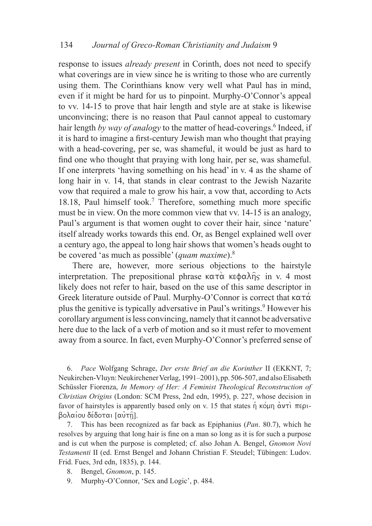response to issues *already present* in Corinth, does not need to specify what coverings are in view since he is writing to those who are currently using them. The Corinthians know very well what Paul has in mind, even if it might be hard for us to pinpoint. Murphy-O'Connor's appeal to vv. 14-15 to prove that hair length and style are at stake is likewise unconvincing; there is no reason that Paul cannot appeal to customary hair length by way of analogy to the matter of head-coverings.<sup>6</sup> Indeed, if it is hard to imagine a first-century Jewish man who thought that praying with a head-covering, per se, was shameful, it would be just as hard to find one who thought that praying with long hair, per se, was shameful. If one interprets 'having something on his head' in v. 4 as the shame of long hair in v. 14, that stands in clear contrast to the Jewish Nazarite vow that required a male to grow his hair, a vow that, according to Acts 18.18, Paul himself took.<sup>7</sup> Therefore, something much more specific must be in view. On the more common view that vv. 14-15 is an analogy, Paul's argument is that women ought to cover their hair, since 'nature' itself already works towards this end. Or, as Bengel explained well over a century ago, the appeal to long hair shows that women's heads ought to be covered 'as much as possible' (*quam maxime*).8

There are, however, more serious objections to the hairstyle interpretation. The prepositional phrase  $\kappa \alpha \tau \alpha$  ke $\phi \alpha \lambda \hat{\eta} \varsigma$  in v. 4 most likely does not refer to hair, based on the use of this same descriptor in Greek literature outside of Paul. Murphy-O'Connor is correct that  $\kappa \alpha \tau \alpha$ plus the genitive is typically adversative in Paul's writings.<sup>9</sup> However his corollary argument is less convincing, namely that it cannot be adversative here due to the lack of a verb of motion and so it must refer to movement away from a source. In fact, even Murphy-O'Connor's preferred sense of

6. *Pace* Wolfgang Schrage, *Der erste Brief an die Korinther* II (EKKNT, 7; Neukirchen-Vluyn: Neukirchener Verlag, 1991–2001), pp. 506-507, and also Elisabeth Schüssler Fiorenza, *In Memory of Her: A Feminist Theological Reconstruction of Christian Origins* (London: SCM Press, 2nd edn, 1995), p. 227, whose decision in favor of hairstyles is apparently based only on v. 15 that states  $\eta$  kound  $\alpha$   $\nu\tau\lambda$   $\pi\epsilon\rho\lambda$ . βολαίου δέδοται [αυτη].

7. This has been recognized as far back as Epiphanius (*Pan*. 80.7), which he resolves by arguing that long hair is fine on a man so long as it is for such a purpose and is cut when the purpose is completed; cf. also Johan A. Bengel, *Gnomon Novi Testamenti* II (ed. Ernst Bengel and Johann Christian F. Steudel; Tübingen: Ludov. Frid. Fues, 3rd edn, 1835), p. 144.

- 8. Bengel, *Gnomon*, p. 145.
- 9. Murphy-O'Connor, 'Sex and Logic', p. 484.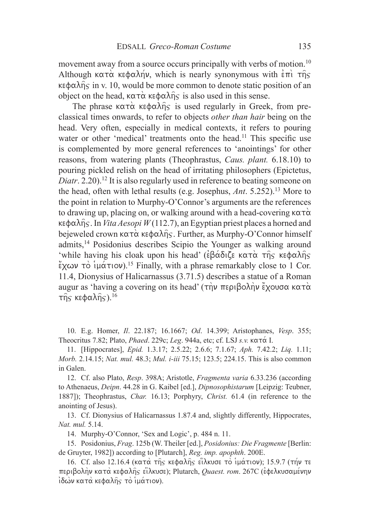movement away from a source occurs principally with verbs of motion.10 Although  $\kappa \alpha \tau \dot{\alpha}$  ke $\phi \alpha \lambda \eta \nu$ , which is nearly synonymous with  $\dot{\epsilon} \pi \dot{\eta} \tau \dot{\eta}$  $\kappa \in \alpha \lambda_{\Omega}$  in v. 10, would be more common to denote static position of an object on the head,  $k \alpha \tau \alpha$  ke $\phi \alpha \lambda \hat{\eta} \varsigma$  is also used in this sense.

The phrase  $\kappa \alpha \tau \alpha$  kestalheen is used regularly in Greek, from preclassical times onwards, to refer to objects *other than hair* being on the head. Very often, especially in medical contexts, it refers to pouring water or other 'medical' treatments onto the head.<sup>11</sup> This specific use is complemented by more general references to 'anointings' for other reasons, from watering plants (Theophrastus, *Caus. plant.* 6.18.10) to pouring pickled relish on the head of irritating philosophers (Epictetus, *Diatr*. 2.20).<sup>12</sup> It is also regularly used in reference to beating someone on the head, often with lethal results (e.g. Josephus, *Ant*. 5.252).13 More to the point in relation to Murphy-O'Connor's arguments are the references to drawing up, placing on, or walking around with a head-covering  $\kappa \alpha \tau \alpha$  $\kappa \in \phi$   $\alpha \overline{\lambda}$  fig. In *Vita Aesopi W* (112.7), an Egyptian priest places a horned and bejeweled crown  $\kappa \alpha \tau \alpha$  ke $\phi \alpha \lambda \hat{n}$ s. Further, as Murphy-O'Connor himself admits,14 Posidonius describes Scipio the Younger as walking around 'while having his cloak upon his head' ( $\epsilon \beta \acute{\alpha} \delta$ i $\zeta$  kata the kehalhs  $\frac{2}{3}$  (γων τὸ ἱμάτιον).<sup>15</sup> Finally, with a phrase remarkably close to 1 Cor. 11.4, Dionysius of Halicarnassus (3.71.5) describes a statue of a Roman augur as 'having a covering on its head' (την περιβολήν έχουσα κατα  $\tau$ ης κεφαλής).<sup>16</sup>

10. E.g. Homer, *Il*. 22.187; 16.1667; *Od*. 14.399; Aristophanes, *Vesp*. 355; Theocritus 7.82; Plato, *Phaed*. 229c; *Leg*. 944a, etc; cf. LSJ *s.v.* kata& I.

11. [Hippocrates], *Epid.* 1.3.17; 2.5.22; 2.6.6; 7.1.67; *Aph.* 7.42.2; *Liq.* 1.11; *Morb.* 2.14.15; *Nat. mul.* 48.3; *Mul. i-iii* 75.15; 123.5; 224.15. This is also common in Galen.

12. Cf. also Plato, *Resp*. 398A; Aristotle, *Fragmenta varia* 6.33.236 (according to Athenaeus, *Deipn*. 44.28 in G. Kaibel [ed.], *Dipnosophistarum* [Leipzig: Teubner, 1887]); Theophrastus, *Char.* 16.13; Porphyry, *Christ.* 61.4 (in reference to the anointing of Jesus).

13. Cf. Dionysius of Halicarnassus 1.87.4 and, slightly differently, Hippocrates, *Nat. mul.* 5.14.

14. Murphy-O'Connor, 'Sex and Logic', p. 484 n. 11.

15. Posidonius, *Frag*. 125b (W. Theiler [ed.], *Posidonius: Die Fragmente* [Berlin: de Gruyter, 1982]) according to [Plutarch], *Reg. imp. apophth*. 200E.

16. Cf. also 12.16.4 (κατά της κεφαλής είλκυσε το ιμάτιον); 15.9.7 (τήν τε  $\pi$ εριβολήν κατά κεφαλής είλκυσε); Plutarch, *Quaest. rom.* 267C (εφελκυσαμένην  $\int$ ίδων κατα κεφαλής το ιμάτιον).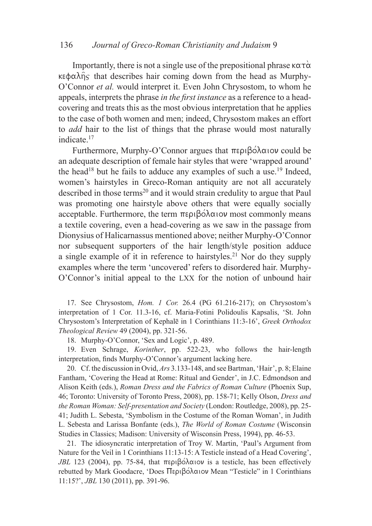Importantly, there is not a single use of the prepositional phrase  $\kappa \alpha \tau \alpha$  $\kappa \in \phi$  and  $\hat{\eta}$  that describes hair coming down from the head as Murphy-O'Connor *et al.* would interpret it. Even John Chrysostom, to whom he appeals, interprets the phrase *in the first instance* as a reference to a headcovering and treats this as the most obvious interpretation that he applies to the case of both women and men; indeed, Chrysostom makes an effort to *add* hair to the list of things that the phrase would most naturally indicate.17

Furthermore, Murphy-O'Connor argues that  $\pi \epsilon \rho \beta \acute{o} \lambda \alpha$  iov could be an adequate description of female hair styles that were 'wrapped around' the head<sup>18</sup> but he fails to adduce any examples of such a use.<sup>19</sup> Indeed, women's hairstyles in Greco-Roman antiquity are not all accurately described in those terms<sup>20</sup> and it would strain credulity to argue that Paul was promoting one hairstyle above others that were equally socially acceptable. Furthermore, the term  $\pi \epsilon \rho \beta \acute{o} \lambda \alpha$  iov most commonly means a textile covering, even a head-covering as we saw in the passage from Dionysius of Halicarnassus mentioned above; neither Murphy-O'Connor nor subsequent supporters of the hair length/style position adduce a single example of it in reference to hairstyles.<sup>21</sup> Nor do they supply examples where the term 'uncovered' refers to disordered hair. Murphy-O'Connor's initial appeal to the lxx for the notion of unbound hair

17. See Chrysostom, *Hom. 1 Cor.* 26.4 (PG 61.216-217); on Chrysostom's interpretation of 1 Cor. 11.3-16, cf. Maria-Fotini Polidoulis Kapsalis, 'St. John Chrysostom's Interpretation of Kephalē in 1 Corinthians 11:3-16', *Greek Orthodox Theological Review* 49 (2004), pp. 321-56.

18. Murphy-O'Connor, 'Sex and Logic', p. 489.

19. Even Schrage, *Korinther*, pp. 522-23, who follows the hair-length interpretation, finds Murphy-O'Connor's argument lacking here.

20. Cf. the discussion in Ovid, *Ars* 3.133-148, and see Bartman, 'Hair', p. 8; Elaine Fantham, 'Covering the Head at Rome: Ritual and Gender', in J.C. Edmondson and Alison Keith (eds.), *Roman Dress and the Fabrics of Roman Culture* (Phoenix Sup, 46; Toronto: University of Toronto Press, 2008), pp. 158-71; Kelly Olson, *Dress and the Roman Woman: Self-presentation and Society* (London: Routledge, 2008), pp. 25- 41; Judith L. Sebesta, 'Symbolism in the Costume of the Roman Woman', in Judith L. Sebesta and Larissa Bonfante (eds.), *The World of Roman Costume* (Wisconsin Studies in Classics; Madison: University of Wisconsin Press, 1994), pp. 46-53.

21. The idiosyncratic interpretation of Troy W. Martin, 'Paul's Argument from Nature for the Veil in 1 Corinthians 11:13-15: A Testicle instead of a Head Covering', *JBL* 123 (2004), pp. 75-84, that  $\pi \epsilon \rho \beta \acute{\rho} \lambda \alpha$  is a testicle, has been effectively rebutted by Mark Goodacre, 'Does Περιβόλαιον Mean "Testicle" in 1 Corinthians 11:15?', *JBL* 130 (2011), pp. 391-96.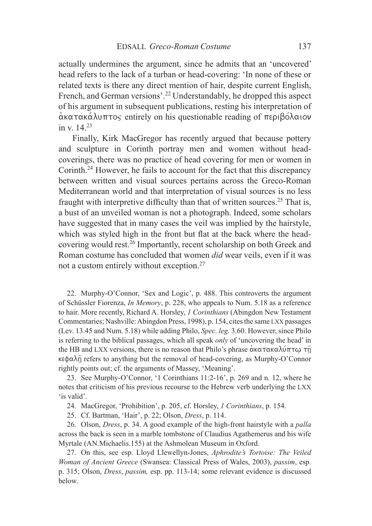actually undermines the argument, since he admits that an 'uncovered' head refers to the lack of a turban or head-covering: 'In none of these or related texts is there any direct mention of hair, despite current English, French, and German versions'.22 Understandably, he dropped this aspect of his argument in subsequent publications, resting his interpretation of  $\alpha$ κατακάλυπτος entirely on his questionable reading of περιβόλαιον in v. 14.23

Finally, Kirk MacGregor has recently argued that because pottery and sculpture in Corinth portray men and women without headcoverings, there was no practice of head covering for men or women in Corinth.<sup>24</sup> However, he fails to account for the fact that this discrepancy between written and visual sources pertains across the Greco-Roman Mediterranean world and that interpretation of visual sources is no less fraught with interpretive difficulty than that of written sources.<sup>25</sup> That is, a bust of an unveiled woman is not a photograph. Indeed, some scholars have suggested that in many cases the veil was implied by the hairstyle, which was styled high in the front but flat at the back where the headcovering would rest.26 Importantly, recent scholarship on both Greek and Roman costume has concluded that women *did* wear veils, even if it was not a custom entirely without exception.27

22. Murphy-O'Connor, 'Sex and Logic', p. 488. This controverts the argument of Schüssler Fiorenza, *In Memory*, p. 228, who appeals to Num. 5.18 as a reference to hair. More recently, Richard A. Horsley, *1 Corinthians* (Abingdon New Testament Commentaries; Nashville: Abingdon Press, 1998), p. 154, cites the same lxx passages (Lev. 13.45 and Num. 5.18) while adding Philo, *Spec. leg.* 3.60. However, since Philo is referring to the biblical passages, which all speak *only* of 'uncovering the head' in the HB and LXX versions, there is no reason that Philo's phrase ακατακαλύπτω τη  $\kappa \in \Phi$  refers to anything but the removal of head-covering, as Murphy-O'Connor rightly points out; cf. the arguments of Massey, 'Meaning'.

23. See Murphy-O'Connor, '1 Corinthians 11:2-16', p. 269 and n. 12, where he notes that criticism of his previous recourse to the Hebrew verb underlying the lxx 'is valid'.

24. MacGregor, 'Prohibition', p. 205, cf. Horsley, *1 Corinthians*, p. 154.

25. Cf. Bartman, 'Hair', p. 22; Olson, *Dress*, p. 114.

26. Olson, *Dress*, p. 34. A good example of the high-front hairstyle with a *palla*  across the back is seen in a marble tombstone of Claudius Agathemerus and his wife Myrtale (AN.Michaelis.155) at the Ashmolean Museum in Oxford.

27. On this, see esp. Lloyd Llewellyn-Jones, *Aphrodite's Tortoise: The Veiled Woman of Ancient Greece* (Swansea: Classical Press of Wales, 2003), *passim*, esp. p. 315; Olson, *Dress*, *passim,* esp. pp. 113-14; some relevant evidence is discussed below.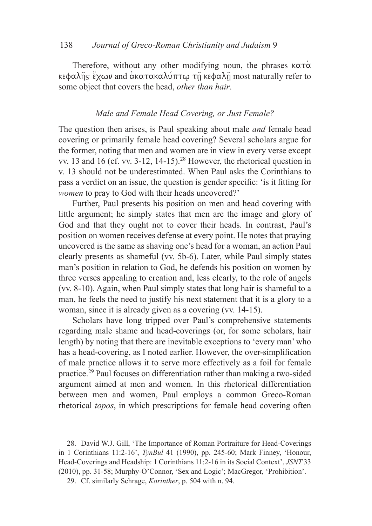Therefore, without any other modifying noun, the phrases  $\kappa \alpha \tau \alpha$ κεφαλής έχων and ακατακαλύπτω τη κεφαλή most naturally refer to some object that covers the head, *other than hair*.

## *Male and Female Head Covering, or Just Female?*

The question then arises, is Paul speaking about male *and* female head covering or primarily female head covering? Several scholars argue for the former, noting that men and women are in view in every verse except vv. 13 and 16 (cf. vv.  $3-12$ ,  $14-15$ ).<sup>28</sup> However, the rhetorical question in v. 13 should not be underestimated. When Paul asks the Corinthians to pass a verdict on an issue, the question is gender specific: 'is it fitting for *women* to pray to God with their heads uncovered?'

Further, Paul presents his position on men and head covering with little argument; he simply states that men are the image and glory of God and that they ought not to cover their heads. In contrast, Paul's position on women receives defense at every point. He notes that praying uncovered is the same as shaving one's head for a woman, an action Paul clearly presents as shameful (vv. 5b-6). Later, while Paul simply states man's position in relation to God, he defends his position on women by three verses appealing to creation and, less clearly, to the role of angels (vv. 8-10). Again, when Paul simply states that long hair is shameful to a man, he feels the need to justify his next statement that it is a glory to a woman, since it is already given as a covering (vv. 14-15).

Scholars have long tripped over Paul's comprehensive statements regarding male shame and head-coverings (or, for some scholars, hair length) by noting that there are inevitable exceptions to 'every man' who has a head-covering, as I noted earlier. However, the over-simplification of male practice allows it to serve more effectively as a foil for female practice.29 Paul focuses on differentiation rather than making a two-sided argument aimed at men and women. In this rhetorical differentiation between men and women, Paul employs a common Greco-Roman rhetorical *topos*, in which prescriptions for female head covering often

<sup>28.</sup> David W.J. Gill, 'The Importance of Roman Portraiture for Head-Coverings in 1 Corinthians 11:2-16', *TynBul* 41 (1990), pp. 245-60; Mark Finney, 'Honour, Head-Coverings and Headship: 1 Corinthians 11:2-16 in its Social Context', *JSNT* 33 (2010), pp. 31-58; Murphy-O'Connor, 'Sex and Logic'; MacGregor, 'Prohibition'.

<sup>29.</sup> Cf. similarly Schrage, *Korinther*, p. 504 with n. 94.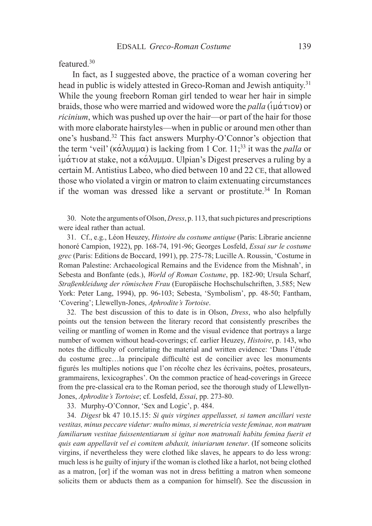featured.30

In fact, as I suggested above, the practice of a woman covering her head in public is widely attested in Greco-Roman and Jewish antiquity.<sup>31</sup> While the young freeborn Roman girl tended to wear her hair in simple braids, those who were married and widowed wore the *palla*  $(i\mu \alpha \tau)$  or *ricinium*, which was pushed up over the hair—or part of the hair for those with more elaborate hairstyles—when in public or around men other than one's husband.32 This fact answers Murphy-O'Connor's objection that the term 'veil' ( $\kappa \alpha \lambda$ uµµ $\alpha$ ) is lacking from 1 Cor. 11;<sup>33</sup> it was the *palla* or  $\hat{\mu}$  $\alpha$  at stake, not a k $\alpha$  $\lambda$ u $\mu$  $\alpha$ . Ulpian's Digest preserves a ruling by a certain M. Antistius Labeo, who died between 10 and 22 CE, that allowed those who violated a virgin or matron to claim extenuating circumstances if the woman was dressed like a servant or prostitute.<sup>34</sup> In Roman

30. Note the arguments of Olson, *Dress*, p. 113, that such pictures and prescriptions were ideal rather than actual.

31. Cf., e.g., Léon Heuzey, *Histoire du costume antique* (Paris: Librarie ancienne honoré Campion, 1922), pp. 168-74, 191-96; Georges Losfeld, *Essai sur le costume grec* (Paris: Editions de Boccard, 1991), pp. 275-78; Lucille A. Roussin, 'Costume in Roman Palestine: Archaeological Remains and the Evidence from the Mishnah', in Sebesta and Bonfante (eds.), *World of Roman Costume*, pp. 182-90; Ursula Scharf, *Straßenkleidung der römischen Frau* (Europäische Hochschulschriften, 3.585; New York: Peter Lang, 1994), pp. 96-103; Sebesta, 'Symbolism', pp. 48-50; Fantham, 'Covering'; Llewellyn-Jones, *Aphrodite's Tortoise*.

32. The best discussion of this to date is in Olson, *Dress*, who also helpfully points out the tension between the literary record that consistently prescribes the veiling or mantling of women in Rome and the visual evidence that portrays a large number of women without head-coverings; cf. earlier Heuzey, *Histoire*, p. 143, who notes the difficulty of correlating the material and written evidence: 'Dans l'étude du costume grec…la principale difficulté est de concilier avec les monuments figurés les multiples notions que l'on récolte chez les écrivains, poètes, prosateurs, grammairens, lexicographes'. On the common practice of head-coverings in Greece from the pre-classical era to the Roman period, see the thorough study of Llewellyn-Jones, *Aphrodite's Tortoise*; cf. Losfeld, *Essai*, pp. 273-80.

33. Murphy-O'Connor, 'Sex and Logic', p. 484.

34. *Digest* bk 47 10.15.15: *Si quis virgines appellasset, si tamen ancillari veste vestitas, minus peccare videtur: multo minus, si meretricia veste feminae, non matrum familiarum vestitae fuissententiarum si igitur non matronali habitu femina fuerit et quis eam appellavit vel ei comitem abduxit, iniuriarum tenetur*. (If someone solicits virgins, if nevertheless they were clothed like slaves, he appears to do less wrong: much less is he guilty of injury if the woman is clothed like a harlot, not being clothed as a matron, [or] if the woman was not in dress befitting a matron when someone solicits them or abducts them as a companion for himself). See the discussion in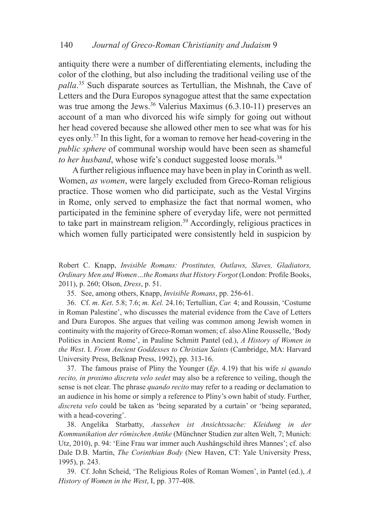antiquity there were a number of differentiating elements, including the color of the clothing, but also including the traditional veiling use of the *palla*. <sup>35</sup> Such disparate sources as Tertullian, the Mishnah, the Cave of Letters and the Dura Europos synagogue attest that the same expectation was true among the Jews.<sup>36</sup> Valerius Maximus  $(6.3.10-11)$  preserves an account of a man who divorced his wife simply for going out without her head covered because she allowed other men to see what was for his eyes only.37 In this light, for a woman to remove her head-covering in the *public sphere* of communal worship would have been seen as shameful *to her husband*, whose wife's conduct suggested loose morals.<sup>38</sup>

A further religious influence may have been in play in Corinth as well. Women, *as women*, were largely excluded from Greco-Roman religious practice. Those women who did participate, such as the Vestal Virgins in Rome, only served to emphasize the fact that normal women, who participated in the feminine sphere of everyday life, were not permitted to take part in mainstream religion.<sup>39</sup> Accordingly, religious practices in which women fully participated were consistently held in suspicion by

Robert C. Knapp, *Invisible Romans: Prostitutes, Outlaws, Slaves, Gladiators, Ordinary Men and Women…the Romans that History Forgot* (London: Profile Books, 2011), p. 260; Olson, *Dress*, p. 51.

35. See, among others, Knapp, *Invisible Romans*, pp. 256-61.

36. Cf. *m*. *Ket*. 5.8; 7.6; *m. Kel.* 24.16; Tertullian, *Car.* 4; and Roussin, 'Costume in Roman Palestine', who discusses the material evidence from the Cave of Letters and Dura Europos. She argues that veiling was common among Jewish women in continuity with the majority of Greco-Roman women; cf. also Aline Rousselle, 'Body Politics in Ancient Rome', in Pauline Schmitt Pantel (ed.), *A History of Women in the West*. I. *From Ancient Goddesses to Christian Saints* (Cambridge, MA: Harvard University Press, Belknap Press, 1992), pp. 313-16.

37. The famous praise of Pliny the Younger (*Ep*. 4.19) that his wife *si quando recito, in proximo discreta velo sedet* may also be a reference to veiling, though the sense is not clear. The phrase *quando recito* may refer to a reading or declamation to an audience in his home or simply a reference to Pliny's own habit of study. Further, *discreta velo* could be taken as 'being separated by a curtain' or 'being separated, with a head-covering'.

38. Angelika Starbatty, *Aussehen ist Ansichtssache: Kleidung in der Kommunikation der römischen Antike* (Münchner Studien zur alten Welt, 7; Munich: Utz, 2010), p. 94: 'Eine Frau war immer auch Aushängschild ihres Mannes'; cf. also Dale D.B. Martin, *The Corinthian Body* (New Haven, CT: Yale University Press, 1995), p. 243.

39. Cf. John Scheid, 'The Religious Roles of Roman Women', in Pantel (ed.), *A History of Women in the West*, I, pp. 377-408.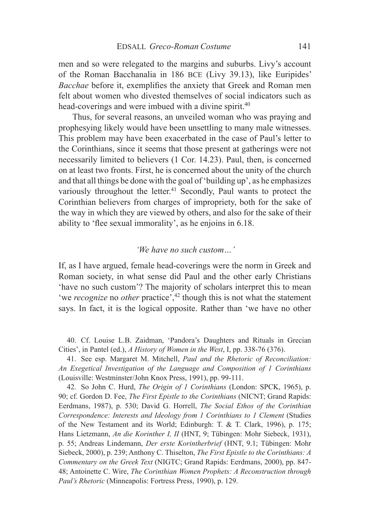men and so were relegated to the margins and suburbs. Livy's account of the Roman Bacchanalia in 186 bce (Livy 39.13), like Euripides' *Bacchae* before it, exemplifies the anxiety that Greek and Roman men felt about women who divested themselves of social indicators such as head-coverings and were imbued with a divine spirit.<sup>40</sup>

Thus, for several reasons, an unveiled woman who was praying and prophesying likely would have been unsettling to many male witnesses. This problem may have been exacerbated in the case of Paul's letter to the Corinthians, since it seems that those present at gatherings were not necessarily limited to believers (1 Cor. 14.23). Paul, then, is concerned on at least two fronts. First, he is concerned about the unity of the church and that all things be done with the goal of 'building up', as he emphasizes variously throughout the letter.<sup>41</sup> Secondly, Paul wants to protect the Corinthian believers from charges of impropriety, both for the sake of the way in which they are viewed by others, and also for the sake of their ability to 'flee sexual immorality', as he enjoins in 6.18.

#### *'We have no such custom…'*

If, as I have argued, female head-coverings were the norm in Greek and Roman society, in what sense did Paul and the other early Christians 'have no such custom'? The majority of scholars interpret this to mean 'we *recognize* no *other* practice',<sup>42</sup> though this is not what the statement says. In fact, it is the logical opposite. Rather than 'we have no other

40. Cf. Louise L.B. Zaidman, 'Pandora's Daughters and Rituals in Grecian Cities', in Pantel (ed.), *A History of Women in the West*, I, pp. 338-76 (376).

41. See esp. Margaret M. Mitchell, *Paul and the Rhetoric of Reconciliation: An Exegetical Investigation of the Language and Composition of 1 Corinthians*  (Louisville: Westminster/John Knox Press, 1991), pp. 99-111.

42. So John C. Hurd, *The Origin of 1 Corinthians* (London: SPCK, 1965), p. 90; cf. Gordon D. Fee, *The First Epistle to the Corinthians* (NICNT; Grand Rapids: Eerdmans, 1987), p. 530; David G. Horrell, *The Social Ethos of the Corinthian Correspondence: Interests and Ideology from 1 Corinthians to 1 Clement (Studies* of the New Testament and its World; Edinburgh: T. & T. Clark, 1996), p. 175; Hans Lietzmann, *An die Korinther I, II* (HNT, 9; Tübingen: Mohr Siebeck, 1931), p. 55; Andreas Lindemann, *Der erste Korintherbrief* (HNT, 9.1; Tübingen: Mohr Siebeck, 2000), p. 239; Anthony C. Thiselton, *The First Epistle to the Corinthians: A Commentary on the Greek Text* (NIGTC; Grand Rapids: Eerdmans, 2000), pp. 847- 48; Antoinette C. Wire, *The Corinthian Women Prophets: A Reconstruction through Paul's Rhetoric* (Minneapolis: Fortress Press, 1990), p. 129.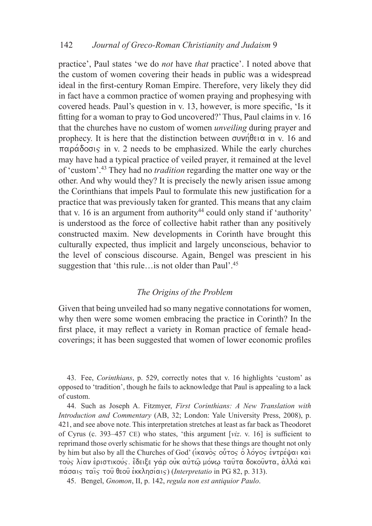practice', Paul states 'we do *not* have *that* practice'. I noted above that the custom of women covering their heads in public was a widespread ideal in the first-century Roman Empire. Therefore, very likely they did in fact have a common practice of women praying and prophesying with covered heads. Paul's question in v. 13, however, is more specific, 'Is it fitting for a woman to pray to God uncovered?' Thus, Paul claims in v. 16 that the churches have no custom of women *unveiling* during prayer and prophecy. It is here that the distinction between  $\sigma$ v $\nu$  $\hat{\theta}$ ei $\alpha$  in v. 16 and  $\pi\alpha\rho\alpha\delta\alpha\sigma$  in v. 2 needs to be emphasized. While the early churches may have had a typical practice of veiled prayer, it remained at the level of 'custom'.43 They had no *tradition* regarding the matter one way or the other. And why would they? It is precisely the newly arisen issue among the Corinthians that impels Paul to formulate this new justification for a practice that was previously taken for granted. This means that any claim that v. 16 is an argument from authority<sup>44</sup> could only stand if 'authority' is understood as the force of collective habit rather than any positively constructed maxim. New developments in Corinth have brought this culturally expected, thus implicit and largely unconscious, behavior to the level of conscious discourse. Again, Bengel was prescient in his suggestion that 'this rule…is not older than Paul'.45

# *The Origins of the Problem*

Given that being unveiled had so many negative connotations for women, why then were some women embracing the practice in Corinth? In the first place, it may reflect a variety in Roman practice of female headcoverings; it has been suggested that women of lower economic profiles

43. Fee, *Corinthians*, p. 529, correctly notes that v. 16 highlights 'custom' as opposed to 'tradition', though he fails to acknowledge that Paul is appealing to a lack of custom.

44. Such as Joseph A. Fitzmyer, *First Corinthians: A New Translation with Introduction and Commentary* (AB, 32; London: Yale University Press, 2008), p. 421, and see above note. This interpretation stretches at least as far back as Theodoret of Cyrus (c. 393–457 ce) who states, 'this argument [*viz*. v. 16] is sufficient to reprimand those overly schismatic for he shows that these things are thought not only by him but also by all the Churches of God' (ικανός ούτος ό λόγος έντρέψαι και τούς λίαν έριστικούς. έδειξε γάρ οὐκ αὐτῶ μόνω ταῦτα δοκοῦντα, ἀλλά καὶ pa&saij tai=j tou= qeou= e0kklhsi/aij) (*Interpretatio* in PG 82, p. 313).

45. Bengel, *Gnomon*, II, p. 142, *regula non est antiquior Paulo*.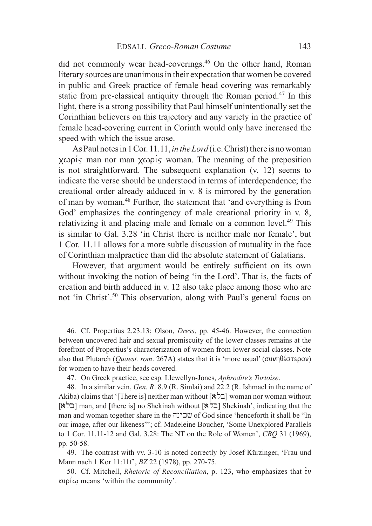did not commonly wear head-coverings.<sup>46</sup> On the other hand, Roman literary sources are unanimous in their expectation that women be covered in public and Greek practice of female head covering was remarkably static from pre-classical antiquity through the Roman period.<sup>47</sup> In this light, there is a strong possibility that Paul himself unintentionally set the Corinthian believers on this trajectory and any variety in the practice of female head-covering current in Corinth would only have increased the speed with which the issue arose.

As Paul notes in 1 Cor. 11.11, *in the Lord* (i.e. Christ) there is no woman  $x\omega\rho$  is man nor man  $x\omega\rho$  is woman. The meaning of the preposition is not straightforward. The subsequent explanation (v. 12) seems to indicate the verse should be understood in terms of interdependence; the creational order already adduced in v. 8 is mirrored by the generation of man by woman.48 Further, the statement that 'and everything is from God' emphasizes the contingency of male creational priority in v. 8, relativizing it and placing male and female on a common level.<sup>49</sup> This is similar to Gal. 3.28 'in Christ there is neither male nor female', but 1 Cor. 11.11 allows for a more subtle discussion of mutuality in the face of Corinthian malpractice than did the absolute statement of Galatians.

However, that argument would be entirely sufficient on its own without invoking the notion of being 'in the Lord'. That is, the facts of creation and birth adduced in v. 12 also take place among those who are not 'in Christ'.50 This observation, along with Paul's general focus on

46. Cf. Propertius 2.23.13; Olson, *Dress*, pp. 45-46. However, the connection between uncovered hair and sexual promiscuity of the lower classes remains at the forefront of Propertius's characterization of women from lower social classes. Note also that Plutarch (*Quaest. rom.* 267A) states that it is 'more usual' ( $\sigma \nu \eta \theta \acute{\epsilon} \sigma \tau \epsilon \rho \circ \nu$ ) for women to have their heads covered.

47. On Greek practice, see esp. Llewellyn-Jones, *Aphrodite's Tortoise*.

48. In a similar vein, *Gen. R*. 8.9 (R. Simlai) and 22.2 (R. Ishmael in the name of Akiba) claims that '[There is] neither man without  $[\& \& ]$  woman nor woman without  $[\& \& \& ]$ man, and [there is] no Shekinah without  $[\& \& ]$  Shekinah', indicating that the man and woman together share in the שבינה of God since 'henceforth it shall be "In our image, after our likeness"'; cf. Madeleine Boucher, 'Some Unexplored Parallels to 1 Cor. 11,11-12 and Gal. 3,28: The NT on the Role of Women', *CBQ* 31 (1969), pp. 50-58.

49. The contrast with vv. 3-10 is noted correctly by Josef Kürzinger, 'Frau und Mann nach 1 Kor 11:11f', *BZ* 22 (1978), pp. 270-75.

50. Cf. Mitchell, *Rhetoric of Reconciliation*, p. 123, who emphasizes that  $\dot{\epsilon}v$  $k\nu\rho\omega$  means 'within the community'.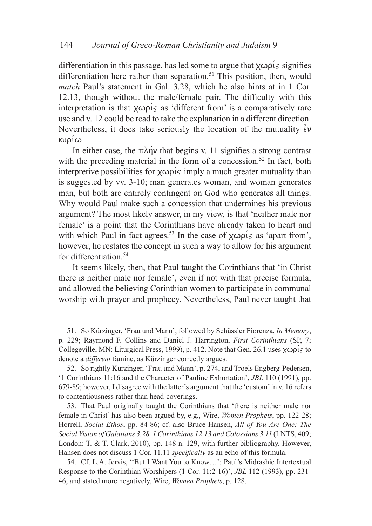differentiation in this passage, has led some to argue that  $\chi \omega \rho$  is signifies differentiation here rather than separation.<sup>51</sup> This position, then, would *match* Paul's statement in Gal. 3.28, which he also hints at in 1 Cor. 12.13, though without the male/female pair. The difficulty with this interpretation is that  $\chi \omega \rho$  is a s'different from' is a comparatively rare use and v. 12 could be read to take the explanation in a different direction. Nevertheless, it does take seriously the location of the mutuality  $\dot{\epsilon}v$  $KUQI$  $\omega$ .

In either case, the  $\pi \lambda \eta \nu$  that begins v. 11 signifies a strong contrast with the preceding material in the form of a concession.<sup>52</sup> In fact, both interpretive possibilities for  $\chi \omega \rho' \zeta$  imply a much greater mutuality than is suggested by vv. 3-10; man generates woman, and woman generates man, but both are entirely contingent on God who generates all things. Why would Paul make such a concession that undermines his previous argument? The most likely answer, in my view, is that 'neither male nor female' is a point that the Corinthians have already taken to heart and with which Paul in fact agrees.<sup>53</sup> In the case of  $\chi \omega \rho$  *is* as 'apart from', however, he restates the concept in such a way to allow for his argument for differentiation.54

It seems likely, then, that Paul taught the Corinthians that 'in Christ there is neither male nor female', even if not with that precise formula, and allowed the believing Corinthian women to participate in communal worship with prayer and prophecy. Nevertheless, Paul never taught that

51. So Kürzinger, 'Frau und Mann', followed by Schüssler Fiorenza, *In Memory*, p. 229; Raymond F. Collins and Daniel J. Harrington, *First Corinthians* (SP, 7; Collegeville, MN: Liturgical Press, 1999), p. 412. Note that Gen. 26.1 uses  $\chi \omega \rho$  is to denote a *different* famine, as Kürzinger correctly argues.

52. So rightly Kürzinger, 'Frau und Mann', p. 274, and Troels Engberg-Pedersen, '1 Corinthians 11:16 and the Character of Pauline Exhortation', *JBL* 110 (1991), pp. 679-89; however, I disagree with the latter's argument that the 'custom' in v. 16 refers to contentiousness rather than head-coverings.

53. That Paul originally taught the Corinthians that 'there is neither male nor female in Christ' has also been argued by, e.g., Wire, *Women Prophets*, pp. 122-28; Horrell, *Social Ethos*, pp. 84-86; cf. also Bruce Hansen, *All of You Are One: The Social Vision of Galatians 3.28, 1 Corinthians 12.13 and Colossians 3.11* (LNTS, 409; London: T. & T. Clark, 2010), pp. 148 n. 129, with further bibliography. However, Hansen does not discuss 1 Cor. 11.11 *specifically* as an echo of this formula.

54. Cf. L.A. Jervis, ''But I Want You to Know…': Paul's Midrashic Intertextual Response to the Corinthian Worshipers (1 Cor. 11:2-16)', *JBL* 112 (1993), pp. 231- 46, and stated more negatively, Wire, *Women Prophets*, p. 128.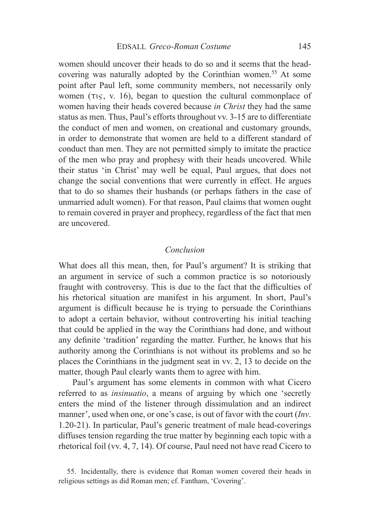women should uncover their heads to do so and it seems that the headcovering was naturally adopted by the Corinthian women.<sup>55</sup> At some point after Paul left, some community members, not necessarily only women  $(\tau_{15}, \nu_{16})$ , began to question the cultural commonplace of women having their heads covered because *in Christ* they had the same status as men. Thus, Paul's efforts throughout vv. 3-15 are to differentiate the conduct of men and women, on creational and customary grounds, in order to demonstrate that women are held to a different standard of conduct than men. They are not permitted simply to imitate the practice of the men who pray and prophesy with their heads uncovered. While their status 'in Christ' may well be equal, Paul argues, that does not change the social conventions that were currently in effect. He argues that to do so shames their husbands (or perhaps fathers in the case of unmarried adult women). For that reason, Paul claims that women ought to remain covered in prayer and prophecy, regardless of the fact that men are uncovered.

## *Conclusion*

What does all this mean, then, for Paul's argument? It is striking that an argument in service of such a common practice is so notoriously fraught with controversy. This is due to the fact that the difficulties of his rhetorical situation are manifest in his argument. In short, Paul's argument is difficult because he is trying to persuade the Corinthians to adopt a certain behavior, without controverting his initial teaching that could be applied in the way the Corinthians had done, and without any definite 'tradition' regarding the matter. Further, he knows that his authority among the Corinthians is not without its problems and so he places the Corinthians in the judgment seat in vv. 2, 13 to decide on the matter, though Paul clearly wants them to agree with him.

Paul's argument has some elements in common with what Cicero referred to as *insinuatio*, a means of arguing by which one 'secretly enters the mind of the listener through dissimulation and an indirect manner', used when one, or one's case, is out of favor with the court (*Inv*. 1.20-21). In particular, Paul's generic treatment of male head-coverings diffuses tension regarding the true matter by beginning each topic with a rhetorical foil (vv. 4, 7, 14). Of course, Paul need not have read Cicero to

<sup>55.</sup> Incidentally, there is evidence that Roman women covered their heads in religious settings as did Roman men; cf. Fantham, 'Covering'.